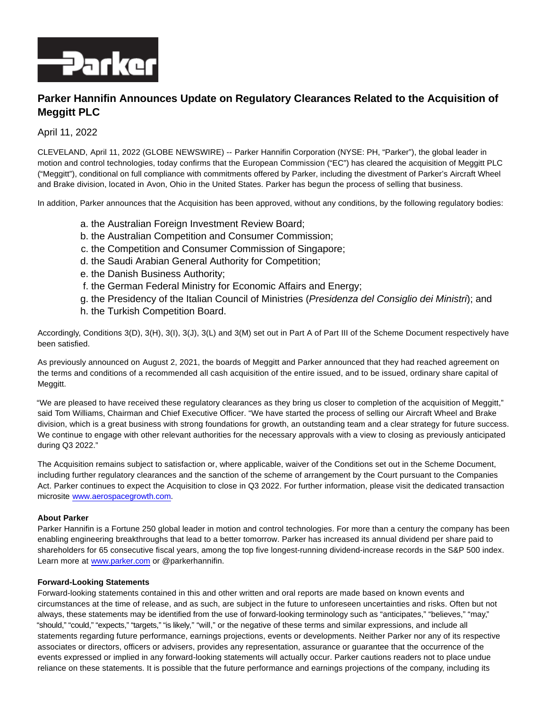

## **Parker Hannifin Announces Update on Regulatory Clearances Related to the Acquisition of Meggitt PLC**

## April 11, 2022

CLEVELAND, April 11, 2022 (GLOBE NEWSWIRE) -- Parker Hannifin Corporation (NYSE: PH, "Parker"), the global leader in motion and control technologies, today confirms that the European Commission ("EC") has cleared the acquisition of Meggitt PLC ("Meggitt"), conditional on full compliance with commitments offered by Parker, including the divestment of Parker's Aircraft Wheel and Brake division, located in Avon, Ohio in the United States. Parker has begun the process of selling that business.

In addition, Parker announces that the Acquisition has been approved, without any conditions, by the following regulatory bodies:

- a. the Australian Foreign Investment Review Board;
- b. the Australian Competition and Consumer Commission;
- c. the Competition and Consumer Commission of Singapore;
- d. the Saudi Arabian General Authority for Competition;
- e. the Danish Business Authority;
- f. the German Federal Ministry for Economic Affairs and Energy;
- g. the Presidency of the Italian Council of Ministries (Presidenza del Consiglio dei Ministri); and
- h. the Turkish Competition Board.

Accordingly, Conditions 3(D), 3(H), 3(I), 3(J), 3(L) and 3(M) set out in Part A of Part III of the Scheme Document respectively have been satisfied.

As previously announced on August 2, 2021, the boards of Meggitt and Parker announced that they had reached agreement on the terms and conditions of a recommended all cash acquisition of the entire issued, and to be issued, ordinary share capital of Meggitt.

"We are pleased to have received these regulatory clearances as they bring us closer to completion of the acquisition of Meggitt," said Tom Williams, Chairman and Chief Executive Officer. "We have started the process of selling our Aircraft Wheel and Brake division, which is a great business with strong foundations for growth, an outstanding team and a clear strategy for future success. We continue to engage with other relevant authorities for the necessary approvals with a view to closing as previously anticipated during Q3 2022."

The Acquisition remains subject to satisfaction or, where applicable, waiver of the Conditions set out in the Scheme Document, including further regulatory clearances and the sanction of the scheme of arrangement by the Court pursuant to the Companies Act. Parker continues to expect the Acquisition to close in Q3 2022. For further information, please visit the dedicated transaction microsite [www.aerospacegrowth.com.](http://www.aerospacegrowth.com/)

## **About Parker**

Parker Hannifin is a Fortune 250 global leader in motion and control technologies. For more than a century the company has been enabling engineering breakthroughs that lead to a better tomorrow. Parker has increased its annual dividend per share paid to shareholders for 65 consecutive fiscal years, among the top five longest-running dividend-increase records in the S&P 500 index. Learn more at [www.parker.com o](http://www.parker.com/)r @parkerhannifin.

## **Forward-Looking Statements**

Forward-looking statements contained in this and other written and oral reports are made based on known events and circumstances at the time of release, and as such, are subject in the future to unforeseen uncertainties and risks. Often but not always, these statements may be identified from the use of forward-looking terminology such as "anticipates," "believes," "may," "should," "could," "expects," "targets," "is likely," "will," or the negative of these terms and similar expressions, and include all statements regarding future performance, earnings projections, events or developments. Neither Parker nor any of its respective associates or directors, officers or advisers, provides any representation, assurance or guarantee that the occurrence of the events expressed or implied in any forward-looking statements will actually occur. Parker cautions readers not to place undue reliance on these statements. It is possible that the future performance and earnings projections of the company, including its